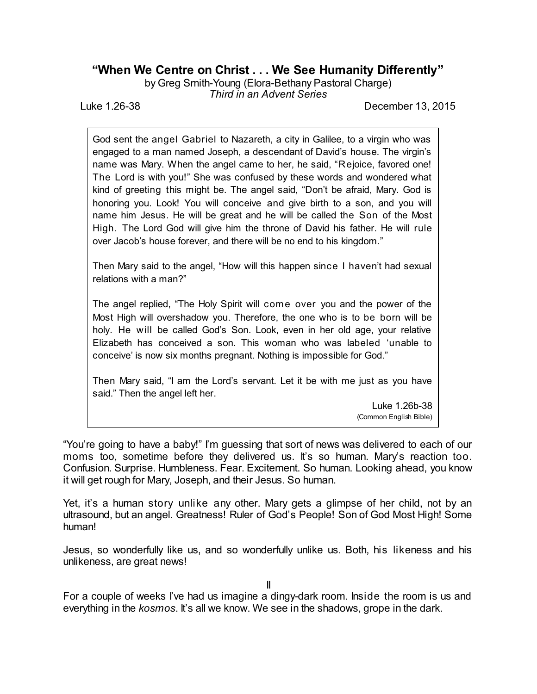## **"When We Centre on Christ . . . We See Humanity Differently"**

by Greg Smith-Young (Elora-Bethany Pastoral Charge)

*Third in an Advent Series*

Luke 1.26-38 December 13, 2015

God sent the angel Gabriel to Nazareth, a city in Galilee, to a virgin who was engaged to a man named Joseph, a descendant of David's house. The virgin's name was Mary. When the angel came to her, he said, "Rejoice, favored one! The Lord is with you!" She was confused by these words and wondered what kind of greeting this might be. The angel said, "Don't be afraid, Mary. God is honoring you. Look! You will conceive and give birth to a son, and you will name him Jesus. He will be great and he will be called the Son of the Most High. The Lord God will give him the throne of David his father. He will rule over Jacob's house forever, and there will be no end to his kingdom."

Then Mary said to the angel, "How will this happen since I haven't had sexual relations with a man?"

The angel replied, "The Holy Spirit will come over you and the power of the Most High will overshadow you. Therefore, the one who is to be born will be holy. He will be called God's Son. Look, even in her old age, your relative Elizabeth has conceived a son. This woman who was labeled 'unable to conceive' is now six months pregnant. Nothing is impossible for God."

Then Mary said, "I am the Lord's servant. Let it be with me just as you have said." Then the angel left her.

> Luke 1.26b-38 (Common English Bible)

"You're going to have a baby!" I'm guessing that sort of news was delivered to each of our moms too, sometime before they delivered us. It's so human. Mary's reaction too. Confusion. Surprise. Humbleness. Fear. Excitement. So human. Looking ahead, you know it will get rough for Mary, Joseph, and their Jesus. So human.

Yet, it's a human story unlike any other. Mary gets a glimpse of her child, not by an ultrasound, but an angel. Greatness! Ruler of God's People! Son of God Most High! Some human!

Jesus, so wonderfully like us, and so wonderfully unlike us. Both, his likeness and his unlikeness, are great news!

For a couple of weeks I've had us imagine a dingy-dark room. Inside the room is us and everything in the *kosmos*. It's all we know. We see in the shadows, grope in the dark.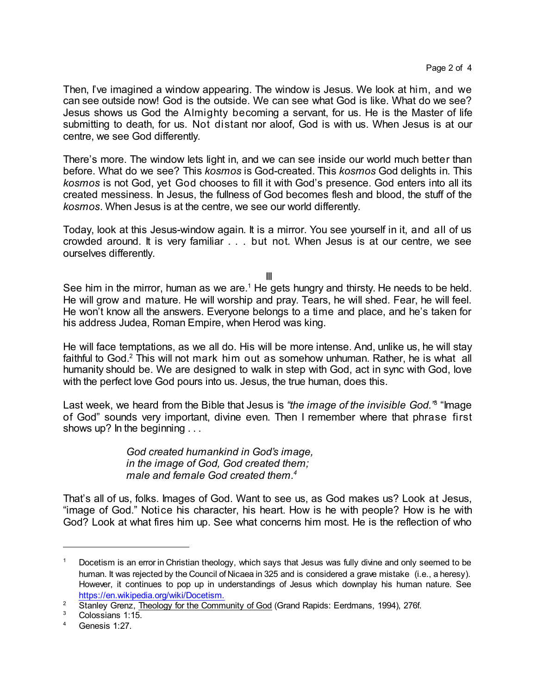Then, I've imagined a window appearing. The window is Jesus. We look at him, and we can see outside now! God is the outside. We can see what God is like. What do we see? Jesus shows us God the Almighty becoming a servant, for us. He is the Master of life submitting to death, for us. Not distant nor aloof, God is with us. When Jesus is at our centre, we see God differently.

There's more. The window lets light in, and we can see inside our world much better than before. What do we see? This *kosmos* is God-created. This *kosmos* God delights in. This *kosmos* is not God, yet God chooses to fill it with God's presence. God enters into all its created messiness. In Jesus, the fullness of God becomes flesh and blood, the stuff of the *kosmos*. When Jesus is at the centre, we see our world differently.

Today, look at this Jesus-window again. It is a mirror. You see yourself in it, and all of us crowded around. It is very familiar . . . but not. When Jesus is at our centre, we see ourselves differently.

III

See him in the mirror, human as we are.<sup>1</sup> He gets hungry and thirsty. He needs to be held. He will grow and mature. He will worship and pray. Tears, he will shed. Fear, he will feel. He won't know all the answers. Everyone belongs to a time and place, and he's taken for his address Judea, Roman Empire, when Herod was king.

He will face temptations, as we all do. His will be more intense. And, unlike us, he will stay faithful to God.<sup>2</sup> This will not mark him out as somehow unhuman. Rather, he is what all humanity should be. We are designed to walk in step with God, act in sync with God, love with the perfect love God pours into us. Jesus, the true human, does this.

Last week, we heard from the Bible that Jesus is "the image of the invisible God."<sup>8</sup> "Image of God" sounds very important, divine even. Then I remember where that phrase first shows up? In the beginning . . .

> *God created humankind in God's image, in the image of God, God created them; male and female God created them. 4*

That's all of us, folks. Images of God. Want to see us, as God makes us? Look at Jesus, "image of God." Notice his character, his heart. How is he with people? How is he with God? Look at what fires him up. See what concerns him most. He is the reflection of who

<sup>&</sup>lt;sup>1</sup> Docetism is an error in Christian theology, which says that Jesus was fully divine and only seemed to be human. It was rejected by the Council of Nicaea in 325 and is considered a grave mistake (i.e., a heresy). However, it continues to pop up in understandings of Jesus which downplay his human nature. See [https://en.wikipedia.org/wiki/Docetism.](https://en.wikipedia.org/wiki/Docetism)

<sup>&</sup>lt;sup>2</sup> Stanley Grenz, Theology for the Community of God (Grand Rapids: Eerdmans, 1994), 276f.

Colossians 1:15.

<sup>4</sup> Genesis 1:27.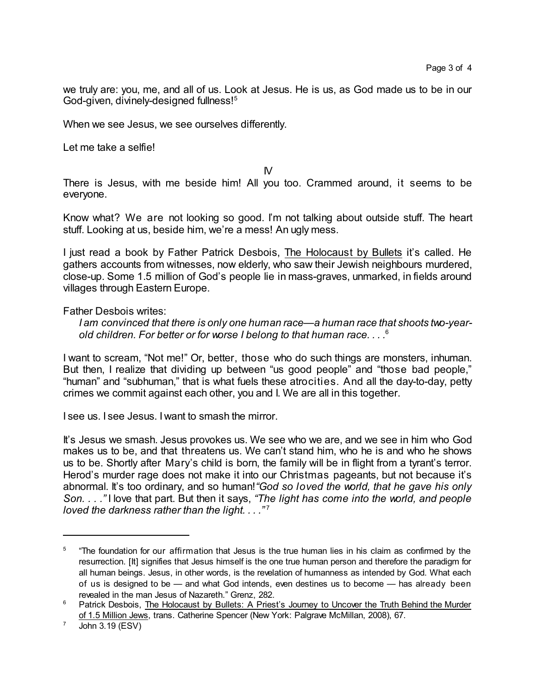we truly are: you, me, and all of us. Look at Jesus. He is us, as God made us to be in our God-given, divinely-designed fullness!<sup>5</sup>

When we see Jesus, we see ourselves differently.

Let me take a selfie!

IV

There is Jesus, with me beside him! All you too. Crammed around, it seems to be everyone.

Know what? We are not looking so good. I'm not talking about outside stuff. The heart stuff. Looking at us, beside him, we're a mess! An ugly mess.

I just read a book by Father Patrick Desbois, The Holocaust by Bullets it's called. He gathers accounts from witnesses, now elderly, who saw their Jewish neighbours murdered, close-up. Some 1.5 million of God's people lie in mass-graves, unmarked, in fields around villages through Eastern Europe.

Father Desbois writes:

*I am convinced that there is only one human race—a human race that shoots two-yearold children. For better or for worse I belong to that human race. . . .* 6

I want to scream, "Not me!" Or, better, those who do such things are monsters, inhuman. But then, I realize that dividing up between "us good people" and "those bad people," "human" and "subhuman," that is what fuels these atrocities. And all the day-to-day, petty crimes we commit against each other, you and I. We are all in this together.

I see us. I see Jesus. I want to smash the mirror.

It's Jesus we smash. Jesus provokes us. We see who we are, and we see in him who God makes us to be, and that threatens us. We can't stand him, who he is and who he shows us to be. Shortly after Mary's child is born, the family will be in flight from a tyrant's terror. Herod's murder rage does not make it into our Christmas pageants, but not because it's abnormal. It's too ordinary, and so human!*"God so loved the world, that he gave his only Son. . . ."* I love that part. But then it says, *"The light has come into the world, and people loved the darkness rather than the light. . . ."* 7

<sup>5</sup> "The foundation for our affirmation that Jesus is the true human lies in his claim as confirmed by the resurrection. [It] signifies that Jesus himself is the one true human person and therefore the paradigm for all human beings. Jesus, in other words, is the revelation of humanness as intended by God. What each of us is designed to be — and what God intends, even destines us to become — has already been revealed in the man Jesus of Nazareth." Grenz, 282.

<sup>&</sup>lt;sup>6</sup> Patrick Desbois, The Holocaust by Bullets: A Priest's Journey to Uncover the Truth Behind the Murder of 1.5 Million Jews, trans. Catherine Spencer (New York: Palgrave McMillan, 2008), 67.

 $7 \quad$  John 3.19 (ESV)